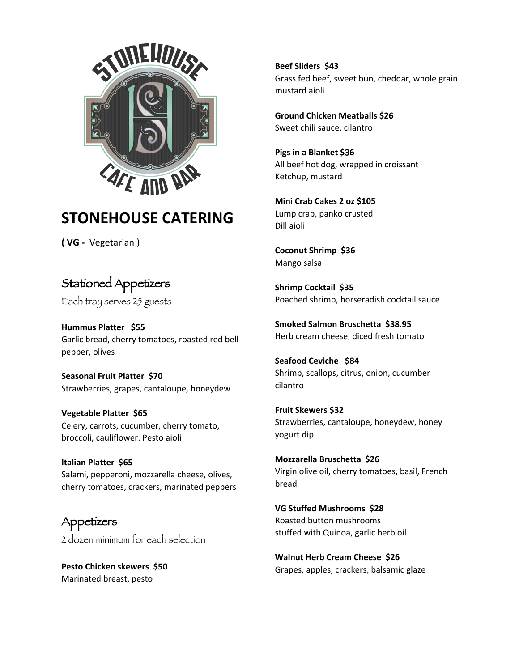

## **STONEHOUSE CATERING**

**( VG -** Vegetarian )

## Stationed Appetizers

Each tray serves 25 guests

**Hummus Platter \$55**  Garlic bread, cherry tomatoes, roasted red bell pepper, olives

**Seasonal Fruit Platter \$70**  Strawberries, grapes, cantaloupe, honeydew

**Vegetable Platter \$65** Celery, carrots, cucumber, cherry tomato, broccoli, cauliflower. Pesto aioli

**Italian Platter \$65**  Salami, pepperoni, mozzarella cheese, olives, cherry tomatoes, crackers, marinated peppers

Appetizers 2 dozen minimum for each selection

**Pesto Chicken skewers \$50**  Marinated breast, pesto

**Beef Sliders \$43**  Grass fed beef, sweet bun, cheddar, whole grain mustard aioli

**Ground Chicken Meatballs \$26**  Sweet chili sauce, cilantro

**Pigs in a Blanket \$**3**6**  All beef hot dog, wrapped in croissant Ketchup, mustard

**Mini Crab Cakes 2 oz \$105**  Lump crab, panko crusted Dill aioli

**Coconut Shrimp \$36**  Mango salsa

**Shrimp Cocktail \$35**  Poached shrimp, horseradish cocktail sauce

**Smoked Salmon Bruschetta \$38.95** Herb cream cheese, diced fresh tomato

**Seafood Ceviche \$84**  Shrimp, scallops, citrus, onion, cucumber cilantro

**Fruit Skewers \$32**  Strawberries, cantaloupe, honeydew, honey yogurt dip

**Mozzarella Bruschetta \$26**  Virgin olive oil, cherry tomatoes, basil, French bread

**VG Stuffed Mushrooms \$28**  Roasted button mushrooms stuffed with Quinoa, garlic herb oil

**Walnut Herb Cream Cheese \$26**  Grapes, apples, crackers, balsamic glaze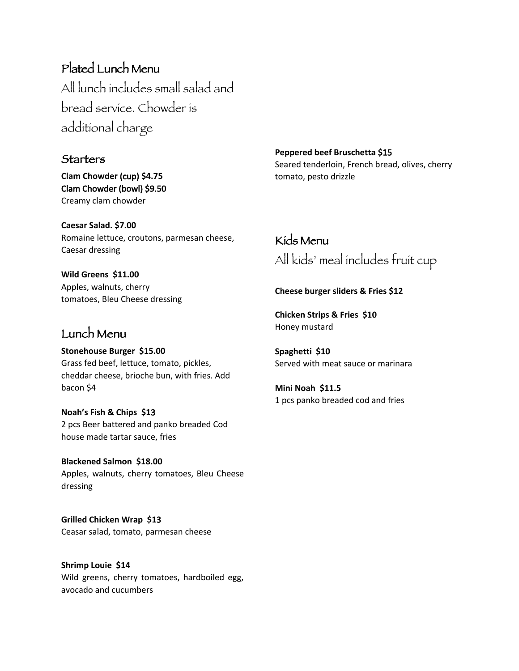Plated Lunch Menu All lunch includes small salad and bread service. Chowder is additional charge

#### **Starters**

**Clam Chowder** (cup) **\$4.75** Clam Chowder (bowl) \$9.50 Creamy clam chowder

**Caesar Salad. \$7.00**  Romaine lettuce, croutons, parmesan cheese, Caesar dressing

**Wild Greens \$11.00**  Apples, walnuts, cherry tomatoes, Bleu Cheese dressing

### Lunch Menu

**Stonehouse Burger \$15.00**  Grass fed beef, lettuce, tomato, pickles, cheddar cheese, brioche bun, with fries. Add bacon \$4

**Noah's Fish & Chips \$1**3 2 pcs Beer battered and panko breaded Cod house made tartar sauce, fries

**Blackened Salmon \$18.00**  Apples, walnuts, cherry tomatoes, Bleu Cheese dressing

**Grilled Chicken Wrap \$1**3 Ceasar salad, tomato, parmesan cheese

**Shrimp Louie \$14**  Wild greens, cherry tomatoes, hardboiled egg, avocado and cucumbers

**Peppered beef Bruschetta** \$15 Seared tenderloin, French bread, olives, cherry tomato, pesto drizzle

# Kids Menu All kids' meal includes fruit cup

#### **Cheese burger sliders & Fries \$12**

**Chicken Strips & Fries \$10**  Honey mustard

**Spaghetti \$10**  Served with meat sauce or marinara

**Mini Noah \$11.5**  1 pcs panko breaded cod and fries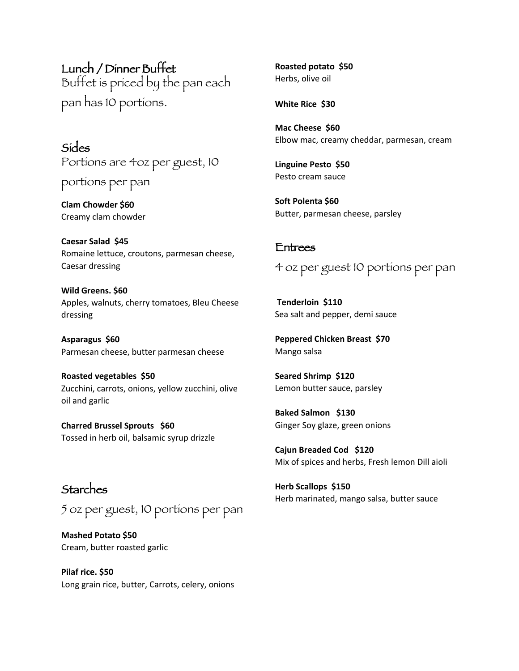Lunch / Dinner Buffet Buffet is priced by the pan each pan has 10 portions.

Sides Portions are 4oz per guest, 10 portions per pan

**Clam Chowder** \$60 Creamy clam chowder

**Caesar Salad \$45**  Romaine lettuce, croutons, parmesan cheese, Caesar dressing

**Wild Greens. \$60**  Apples, walnuts, cherry tomatoes, Bleu Cheese dressing

**Asparagus \$60** Parmesan cheese, butter parmesan cheese

**Roasted vegetables \$50**  Zucchini, carrots, onions, yellow zucchini, olive oil and garlic

**Charred Brussel Sprouts \$60**  Tossed in herb oil, balsamic syrup drizzle

Starches 5 oz per guest, 10 portions per pan

**Mashed Potato \$50**  Cream, butter roasted garlic

**Pilaf rice. \$50**  Long grain rice, butter, Carrots, celery, onions **Roasted potato \$50**  Herbs, olive oil

**White Rice \$30** 

**Mac Cheese \$60**  Elbow mac, creamy cheddar, parmesan, cream

**Linguine Pesto \$50**  Pesto cream sauce

**Soft Polenta \$60**  Butter, parmesan cheese, parsley

#### Entrees

4 oz per guest 10 portions per pan

**Tenderloin \$110**  Sea salt and pepper, demi sauce

**Peppered Chicken Breast \$70**  Mango salsa

**Seared Shrimp \$120**  Lemon butter sauce, parsley

**Baked Salmon \$130**  Ginger Soy glaze, green onions

**Cajun Breaded Cod \$120**  Mix of spices and herbs, Fresh lemon Dill aioli

**Herb Scallops \$150**  Herb marinated, mango salsa, butter sauce